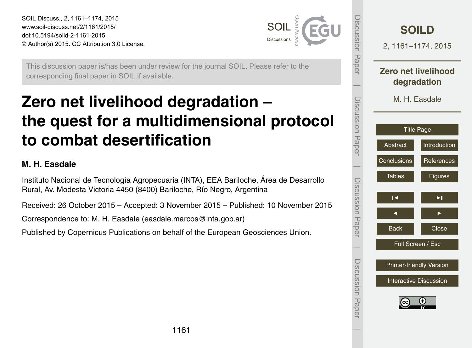<span id="page-0-0"></span>SOIL Discuss., 2, 1161–1174, 2015 www.soil-discuss.net/2/1161/2015/ doi:10.5194/soild-2-1161-2015 © Author(s) 2015. CC Attribution 3.0 License.



This discussion paper is/has been under review for the journal SOIL. Please refer to the corresponding final paper in SOIL if available.

# **Zero net livelihood degradation – the quest for a multidimensional protocol to combat desertification**

### **M. H. Easdale**

Instituto Nacional de Tecnología Agropecuaria (INTA), EEA Bariloche, Área de Desarrollo Rural, Av. Modesta Victoria 4450 (8400) Bariloche, Río Negro, Argentina

Received: 26 October 2015 – Accepted: 3 November 2015 – Published: 10 November 2015

Correspondence to: M. H. Easdale (easdale.marcos@inta.gob.ar)

Published by Copernicus Publications on behalf of the European Geosciences Union.

| Discussion Paper                | <b>SOILD</b><br>2, 1161-1174, 2015 |                                    |  |  |
|---------------------------------|------------------------------------|------------------------------------|--|--|
|                                 |                                    | Zero net livelihood<br>degradation |  |  |
| Discussion Paper                | M. H. Easdale                      |                                    |  |  |
|                                 | <b>Title Page</b>                  |                                    |  |  |
|                                 | Abstract                           | Introduction                       |  |  |
|                                 | Conclusions                        | References                         |  |  |
| Discussion Paper                | <b>Tables</b>                      | Figures                            |  |  |
|                                 | $\overline{\phantom{a}}$           | ▶∣                                 |  |  |
|                                 |                                    |                                    |  |  |
|                                 | <b>Back</b>                        | Close                              |  |  |
|                                 | Full Screen / Esc                  |                                    |  |  |
| <b>Printer-friendly Version</b> |                                    |                                    |  |  |
|                                 | <b>Interactive Discussion</b>      |                                    |  |  |
| Discussion Paper                |                                    |                                    |  |  |
|                                 |                                    |                                    |  |  |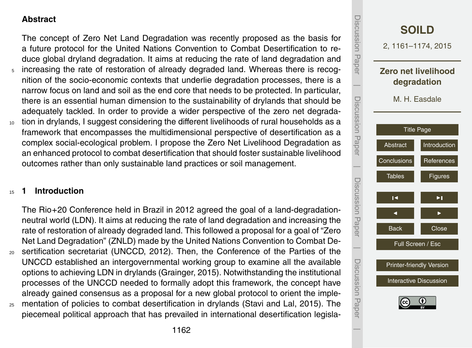### <span id="page-1-0"></span>**Abstract**

The concept of Zero Net Land Degradation was recently proposed as the basis for a future protocol for the United Nations Convention to Combat Desertification to reduce global dryland degradation. It aims at reducing the rate of land degradation and

- <sup>5</sup> increasing the rate of restoration of already degraded land. Whereas there is recognition of the socio-economic contexts that underlie degradation processes, there is a narrow focus on land and soil as the end core that needs to be protected. In particular, there is an essential human dimension to the sustainability of drylands that should be adequately tackled. In order to provide a wider perspective of the zero net degrada-
- <sup>10</sup> tion in drylands, I suggest considering the different livelihoods of rural households as a framework that encompasses the multidimensional perspective of desertification as a complex social-ecological problem. I propose the Zero Net Livelihood Degradation as an enhanced protocol to combat desertification that should foster sustainable livelihood outcomes rather than only sustainable land practices or soil management.

#### <sup>15</sup> **1 Introduction**

The Rio+20 Conference held in Brazil in 2012 agreed the goal of a land-degradationneutral world (LDN). It aims at reducing the rate of land degradation and increasing the rate of restoration of already degraded land. This followed a proposal for a goal of "Zero Net Land Degradation" (ZNLD) made by the United Nations Convention to Combat De-<sup>20</sup> sertification secretariat (UNCCD, 2012). Then, the Conference of the Parties of the UNCCD established an intergovernmental working group to examine all the available options to achieving LDN in drylands (Grainger, 2015). Notwithstanding the institutional processes of the UNCCD needed to formally adopt this framework, the concept have already gained consensus as a proposal for a new global protocol to orient the imple-<sup>25</sup> mentation of policies to combat desertification in drylands (Stavi and Lal, 2015). The piecemeal political approach that has prevailed in international desertification legisla-

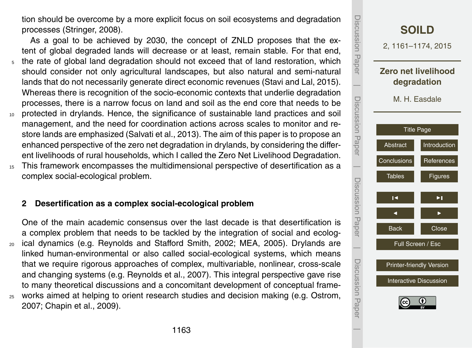tion should be overcome by a more explicit focus on soil ecosystems and degradation processes (Stringer, 2008).

As a goal to be achieved by 2030, the concept of ZNLD proposes that the extent of global degraded lands will decrease or at least, remain stable. For that end, <sup>5</sup> the rate of global land degradation should not exceed that of land restoration, which should consider not only agricultural landscapes, but also natural and semi-natural lands that do not necessarily generate direct economic revenues (Stavi and Lal, 2015). Whereas there is recognition of the socio-economic contexts that underlie degradation processes, there is a narrow focus on land and soil as the end core that needs to be <sup>10</sup> protected in drylands. Hence, the significance of sustainable land practices and soil management, and the need for coordination actions across scales to monitor and restore lands are emphasized (Salvati et al., 2013). The aim of this paper is to propose an enhanced perspective of the zero net degradation in drylands, by considering the different livelihoods of rural households, which I called the Zero Net Livelihood Degradation.

<sup>15</sup> This framework encompasses the multidimensional perspective of desertification as a complex social-ecological problem.

## **2 Desertification as a complex social-ecological problem**

One of the main academic consensus over the last decade is that desertification is a complex problem that needs to be tackled by the integration of social and ecolog-<sup>20</sup> ical dynamics (e.g. Reynolds and Stafford Smith, 2002; MEA, 2005). Drylands are linked human-environmental or also called social-ecological systems, which means that we require rigorous approaches of complex, multivariable, nonlinear, cross-scale and changing systems (e.g. Reynolds et al., 2007). This integral perspective gave rise to many theoretical discussions and a concomitant development of conceptual frame-<sup>25</sup> works aimed at helping to orient research studies and decision making (e.g. Ostrom, 2007; Chapin et al., 2009).

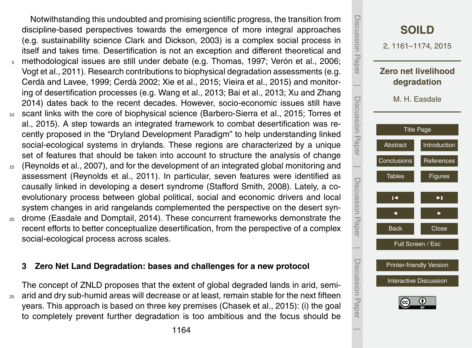Notwithstanding this undoubted and promising scientific progress, the transition from discipline-based perspectives towards the emergence of more integral approaches (e.g. sustainability science Clark and Dickson, 2003) is a complex social process in itself and takes time. Desertification is not an exception and different theoretical and <sup>5</sup> methodological issues are still under debate (e.g. Thomas, 1997; Verón et al., 2006; Vogt et al., 2011). Research contributions to biophysical degradation assessments (e.g. Cerdà and Lavee, 1999; Cerdà 2002; Xie et al., 2015; Vieira et al., 2015) and monitoring of desertification processes (e.g. Wang et al., 2013; Bai et al., 2013; Xu and Zhang 2014) dates back to the recent decades. However, socio-economic issues still have <sup>10</sup> scant links with the core of biophysical science (Barbero-Sierra et al., 2015; Torres et al., 2015). A step towards an integrated framework to combat desertification was recently proposed in the "Dryland Development Paradigm" to help understanding linked social-ecological systems in drylands. These regions are characterized by a unique set of features that should be taken into account to structure the analysis of change <sup>15</sup> (Reynolds et al., 2007), and for the development of an integrated global monitoring and

- assessment (Reynolds et al., 2011). In particular, seven features were identified as causally linked in developing a desert syndrome (Stafford Smith, 2008). Lately, a coevolutionary process between global political, social and economic drivers and local system changes in arid rangelands complemented the perspective on the desert syn-
- <sup>20</sup> drome (Easdale and Domptail, 2014). These concurrent frameworks demonstrate the recent efforts to better conceptualize desertification, from the perspective of a complex social-ecological process across scales.

#### **3 Zero Net Land Degradation: bases and challenges for a new protocol**

The concept of ZNLD proposes that the extent of global degraded lands in arid, semi- $25$  arid and dry sub-humid areas will decrease or at least, remain stable for the next fifteen years. This approach is based on three key premises (Chasek et al., 2015): (i) the goal to completely prevent further degradation is too ambitious and the focus should be

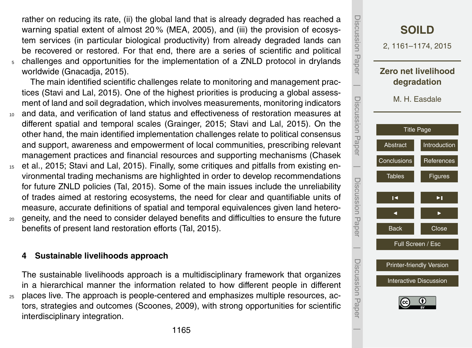rather on reducing its rate, (ii) the global land that is already degraded has reached a warning spatial extent of almost 20 % (MEA, 2005), and (iii) the provision of ecosystem services (in particular biological productivity) from already degraded lands can be recovered or restored. For that end, there are a series of scientific and political <sup>5</sup> challenges and opportunities for the implementation of a ZNLD protocol in drylands worldwide (Gnacadja, 2015).

The main identified scientific challenges relate to monitoring and management practices (Stavi and Lal, 2015). One of the highest priorities is producing a global assessment of land and soil degradation, which involves measurements, monitoring indicators

- <sup>10</sup> and data, and verification of land status and effectiveness of restoration measures at different spatial and temporal scales (Grainger, 2015; Stavi and Lal, 2015). On the other hand, the main identified implementation challenges relate to political consensus and support, awareness and empowerment of local communities, prescribing relevant management practices and financial resources and supporting mechanisms (Chasek
- <sup>15</sup> et al., 2015; Stavi and Lal, 2015). Finally, some critiques and pitfalls from existing environmental trading mechanisms are highlighted in order to develop recommendations for future ZNLD policies (Tal, 2015). Some of the main issues include the unreliability of trades aimed at restoring ecosystems, the need for clear and quantifiable units of measure, accurate definitions of spatial and temporal equivalences given land hetero-
- <sup>20</sup> geneity, and the need to consider delayed benefits and difficulties to ensure the future benefits of present land restoration efforts (Tal, 2015).

#### **4 Sustainable livelihoods approach**

The sustainable livelihoods approach is a multidisciplinary framework that organizes in a hierarchical manner the information related to how different people in different <sup>25</sup> places live. The approach is people-centered and emphasizes multiple resources, actors, strategies and outcomes (Scoones, 2009), with strong opportunities for scientific interdisciplinary integration.

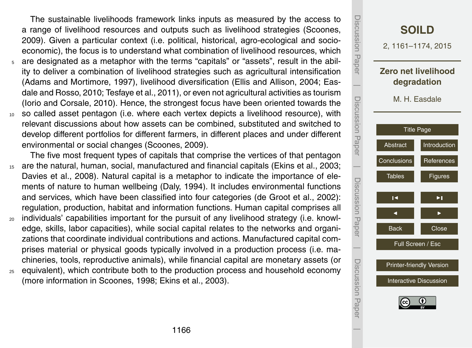The sustainable livelihoods framework links inputs as measured by the access to a range of livelihood resources and outputs such as livelihood strategies (Scoones, 2009). Given a particular context (i.e. political, historical, agro-ecological and socioeconomic), the focus is to understand what combination of livelihood resources, which

- <sup>5</sup> are designated as a metaphor with the terms "capitals" or "assets", result in the ability to deliver a combination of livelihood strategies such as agricultural intensification (Adams and Mortimore, 1997), livelihood diversification (Ellis and Allison, 2004; Easdale and Rosso, 2010; Tesfaye et al., 2011), or even not agricultural activities as tourism (Iorio and Corsale, 2010). Hence, the strongest focus have been oriented towards the
- <sup>10</sup> so called asset pentagon (i.e. where each vertex depicts a livelihood resource), with relevant discussions about how assets can be combined, substituted and switched to develop different portfolios for different farmers, in different places and under different environmental or social changes (Scoones, 2009).

The five most frequent types of capitals that comprise the vertices of that pentagon <sup>15</sup> are the natural, human, social, manufactured and financial capitals (Ekins et al., 2003; Davies et al., 2008). Natural capital is a metaphor to indicate the importance of elements of nature to human wellbeing (Daly, 1994). It includes environmental functions and services, which have been classified into four categories (de Groot et al., 2002): regulation, production, habitat and information functions. Human capital comprises all

- <sup>20</sup> individuals' capabilities important for the pursuit of any livelihood strategy (i.e. knowledge, skills, labor capacities), while social capital relates to the networks and organizations that coordinate individual contributions and actions. Manufactured capital comprises material or physical goods typically involved in a production process (i.e. machineries, tools, reproductive animals), while financial capital are monetary assets (or
- <sub>25</sub> equivalent), which contribute both to the production process and household economy (more information in Scoones, 1998; Ekins et al., 2003).

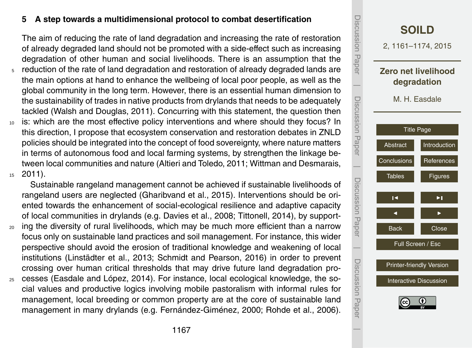#### **5 A step towards a multidimensional protocol to combat desertification**

The aim of reducing the rate of land degradation and increasing the rate of restoration of already degraded land should not be promoted with a side-effect such as increasing degradation of other human and social livelihoods. There is an assumption that the

- <sup>5</sup> reduction of the rate of land degradation and restoration of already degraded lands are the main options at hand to enhance the wellbeing of local poor people, as well as the global community in the long term. However, there is an essential human dimension to the sustainability of trades in native products from drylands that needs to be adequately tackled (Walsh and Douglas, 2011). Concurring with this statement, the question then
- <sup>10</sup> is: which are the most effective policy interventions and where should they focus? In this direction, I propose that ecosystem conservation and restoration debates in ZNLD policies should be integrated into the concept of food sovereignty, where nature matters in terms of autonomous food and local farming systems, by strengthen the linkage between local communities and nature (Altieri and Toledo, 2011; Wittman and Desmarais, <sup>15</sup> 2011).

Sustainable rangeland management cannot be achieved if sustainable livelihoods of rangeland users are neglected (Gharibvand et al., 2015). Interventions should be oriented towards the enhancement of social-ecological resilience and adaptive capacity of local communities in drylands (e.g. Davies et al., 2008; Tittonell, 2014), by support-

- <sup>20</sup> ing the diversity of rural livelihoods, which may be much more efficient than a narrow focus only on sustainable land practices and soil management. For instance, this wider perspective should avoid the erosion of traditional knowledge and weakening of local institutions (Linstädter et al., 2013; Schmidt and Pearson, 2016) in order to prevent crossing over human critical thresholds that may drive future land degradation pro-
- <sup>25</sup> cesses (Easdale and López, 2014). For instance, local ecological knowledge, the social values and productive logics involving mobile pastoralism with informal rules for management, local breeding or common property are at the core of sustainable land management in many drylands (e.g. Fernández-Giménez, 2000; Rohde et al., 2006).

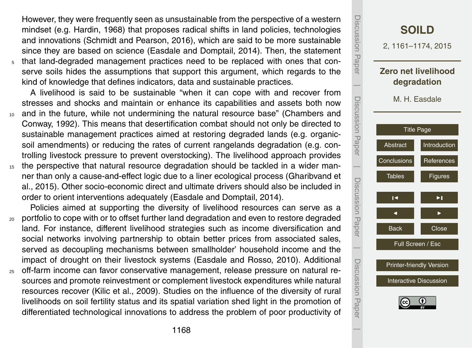However, they were frequently seen as unsustainable from the perspective of a western mindset (e.g. Hardin, 1968) that proposes radical shifts in land policies, technologies and innovations (Schmidt and Pearson, 2016), which are said to be more sustainable since they are based on science (Easdale and Domptail, 2014). Then, the statement <sup>5</sup> that land-degraded management practices need to be replaced with ones that conserve soils hides the assumptions that support this argument, which regards to the

kind of knowledge that defines indicators, data and sustainable practices.

A livelihood is said to be sustainable "when it can cope with and recover from stresses and shocks and maintain or enhance its capabilities and assets both now

- <sup>10</sup> and in the future, while not undermining the natural resource base" (Chambers and Conway, 1992). This means that desertification combat should not only be directed to sustainable management practices aimed at restoring degraded lands (e.g. organicsoil amendments) or reducing the rates of current rangelands degradation (e.g. controlling livestock pressure to prevent overstocking). The livelihood approach provides
- <sup>15</sup> the perspective that natural resource degradation should be tackled in a wider manner than only a cause-and-effect logic due to a liner ecological process (Gharibvand et al., 2015). Other socio-economic direct and ultimate drivers should also be included in order to orient interventions adequately (Easdale and Domptail, 2014).

Policies aimed at supporting the diversity of livelihood resources can serve as a <sup>20</sup> portfolio to cope with or to offset further land degradation and even to restore degraded

- land. For instance, different livelihood strategies such as income diversification and social networks involving partnership to obtain better prices from associated sales, served as decoupling mechanisms between smallholder' household income and the impact of drought on their livestock systems (Easdale and Rosso, 2010). Additional
- <sup>25</sup> off-farm income can favor conservative management, release pressure on natural resources and promote reinvestment or complement livestock expenditures while natural resources recover (Kilic et al., 2009). Studies on the influence of the diversity of rural livelihoods on soil fertility status and its spatial variation shed light in the promotion of differentiated technological innovations to address the problem of poor productivity of

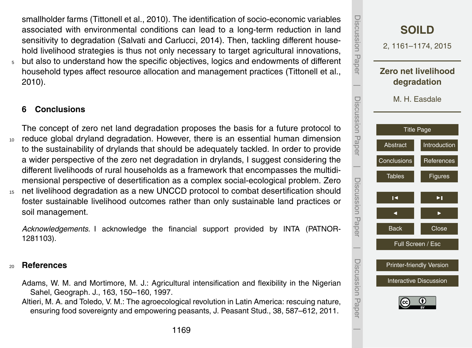<span id="page-8-0"></span>smallholder farms (Tittonell et al., 2010). The identification of socio-economic variables associated with environmental conditions can lead to a long-term reduction in land sensitivity to degradation (Salvati and Carlucci, 2014). Then, tackling different household livelihood strategies is thus not only necessary to target agricultural innovations, <sup>5</sup> but also to understand how the specific objectives, logics and endowments of different

household types affect resource allocation and management practices (Tittonell et al., 2010).

#### **6 Conclusions**

The concept of zero net land degradation proposes the basis for a future protocol to <sup>10</sup> reduce global dryland degradation. However, there is an essential human dimension to the sustainability of drylands that should be adequately tackled. In order to provide a wider perspective of the zero net degradation in drylands, I suggest considering the different livelihoods of rural households as a framework that encompasses the multidimensional perspective of desertification as a complex social-ecological problem. Zero <sup>15</sup> net livelihood degradation as a new UNCCD protocol to combat desertification should

foster sustainable livelihood outcomes rather than only sustainable land practices or soil management.

*Acknowledgements.* I acknowledge the financial support provided by INTA (PATNOR-1281103).

#### <sup>20</sup> **References**

- Adams, W. M. and Mortimore, M. J.: Agricultural intensification and flexibility in the Nigerian Sahel, Geograph. J., 163, 150–160, 1997.
- Altieri, M. A. and Toledo, V. M.: The agroecological revolution in Latin America: rescuing nature, ensuring food sovereignty and empowering peasants, J. Peasant Stud., 38, 587–612, 2011.

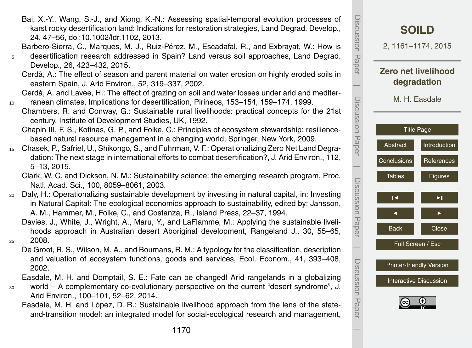Bai, X.-Y., Wang, S.-J., and Xiong, K.-N.: Assessing spatial-temporal evolution processes of karst rocky desertification land: Indications for restoration strategies, Land Degrad. Develop., 24, 47–56, doi[:10.1002/ldr.1102,](http://dx.doi.org/10.1002/ldr.1102) 2013.

Barbero-Sierra, C., Marques, M. J., Ruiz-Pérez, M., Escadafal, R., and Exbrayat, W.: How is <sup>5</sup> desertification research addressed in Spain? Land versus soil approaches, Land Degrad.

Develop., 26, 423–432, 2015.

Cerdà, A.: The effect of season and parent material on water erosion on highly eroded soils in eastern Spain, J. Arid Environ., 52, 319–337, 2002.

Cerdà, A. and Lavee, H.: The effect of grazing on soil and water losses under arid and mediter-<sup>10</sup> ranean climates, Implications for desertification, Pirineos, 153–154, 159–174, 1999.

Chambers, R. and Conway, G.: Sustainable rural livelihoods: practical concepts for the 21st century, Institute of Development Studies, UK, 1992.

Chapin III, F. S., Kofinas, G. P., and Folke, C.: Principles of ecosystem stewardship: resiliencebased natural resource management in a changing world, Springer, New York, 2009.

<sup>15</sup> Chasek, P., Safriel, U., Shikongo, S., and Fuhrman, V. F.: Operationalizing Zero Net Land Degradation: The next stage in international efforts to combat desertification?, J. Arid Environ., 112, 5–13, 2015.

Clark, W. C. and Dickson, N. M.: Sustainability science: the emerging research program, Proc. Natl. Acad. Sci., 100, 8059–8061, 2003.

<sup>20</sup> Daly, H.: Operationalizing sustainable development by investing in natural capital, in: Investing in Natural Capital: The ecological economics approach to sustainability, edited by: Jansson, A. M., Hammer, M., Folke, C., and Costanza, R., Island Press, 22–37, 1994.

Davies, J., White, J., Wright, A., Maru, Y., and LaFlamme, M.: Applying the sustainable livelihoods approach in Australian desert Aboriginal development, Rangeland J., 30, 55–65, <sup>25</sup> 2008.

De Groot, R. S., Wilson, M. A., and Boumans, R. M.: A typology for the classification, description and valuation of ecosystem functions, goods and services, Ecol. Econom., 41, 393–408, 2002.

Easdale, M. H. and Domptail, S. E.: Fate can be changed! Arid rangelands in a globalizing

- <sup>30</sup> world A complementary co-evolutionary perspective on the current "desert syndrome", J. Arid Environ., 100–101, 52–62, 2014.
	- Easdale, M. H. and López, D. R.: Sustainable livelihood approach from the lens of the stateand-transition model: an integrated model for social-ecological research and management,

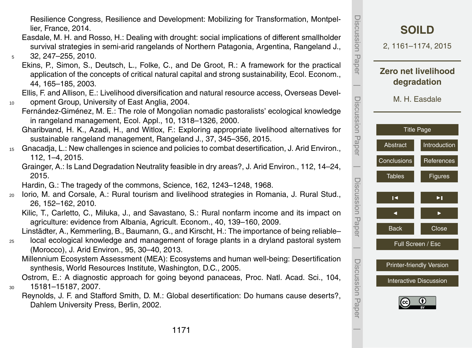Resilience Congress, Resilience and Development: Mobilizing for Transformation, Montpellier, France, 2014.

- Easdale, M. H. and Rosso, H.: Dealing with drought: social implications of different smallholder survival strategies in semi-arid rangelands of Northern Patagonia, Argentina, Rangeland J., <sup>5</sup> 32, 247–255, 2010.
	- Ekins, P., Simon, S., Deutsch, L., Folke, C., and De Groot, R.: A framework for the practical application of the concepts of critical natural capital and strong sustainability, Ecol. Econom., 44, 165–185, 2003.

Ellis, F. and Allison, E.: Livelihood diversification and natural resource access, Overseas Devel-10 opment Group, University of East Anglia, 2004.

Fernández-Giménez, M. E.: The role of Mongolian nomadic pastoralists' ecological knowledge in rangeland management, Ecol. Appl., 10, 1318–1326, 2000.

Gharibvand, H. K., Azadi, H., and Witlox, F.: Exploring appropriate livelihood alternatives for sustainable rangeland management, Rangeland J., 37, 345–356, 2015.

- <sup>15</sup> Gnacadja, L.: New challenges in science and policies to combat desertification, J. Arid Environ., 112, 1–4, 2015.
	- Grainger, A.: Is Land Degradation Neutrality feasible in dry areas?, J. Arid Environ., 112, 14–24, 2015.
	- Hardin, G.: The tragedy of the commons, Science, 162, 1243–1248, 1968.
- <sup>20</sup> Iorio, M. and Corsale, A.: Rural tourism and livelihood strategies in Romania, J. Rural Stud., 26, 152–162, 2010.
	- Kilic, T., Carletto, C., Miluka, J., and Savastano, S.: Rural nonfarm income and its impact on agriculture: evidence from Albania, Agricult. Econom., 40, 139–160, 2009.

Linstädter, A., Kemmerling, B., Baumann, G., and Kirscht, H.: The importance of being reliable–

- <sup>25</sup> local ecological knowledge and management of forage plants in a dryland pastoral system (Morocco), J. Arid Environ., 95, 30–40, 2013.
	- Millennium Ecosystem Assessment (MEA): Ecosystems and human well-being: Desertification synthesis, World Resources Institute, Washington, D.C., 2005.

Ostrom, E.: A diagnostic approach for going beyond panaceas, Proc. Natl. Acad. Sci., 104, <sup>30</sup> 15181–15187, 2007.

Reynolds, J. F. and Stafford Smith, D. M.: Global desertification: Do humans cause deserts?, Dahlem University Press, Berlin, 2002.

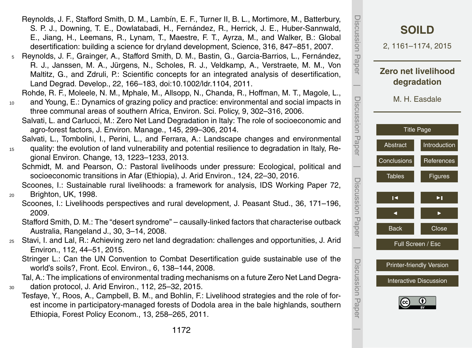- Reynolds, J. F., Stafford Smith, D. M., Lambín, E. F., Turner II, B. L., Mortimore, M., Batterbury, S. P. J., Downing, T. E., Dowlatabadi, H., Fernández, R., Herrick, J. E., Huber-Sannwald, E., Jiang, H., Leemans, R., Lynam, T., Maestre, F. T., Ayrza, M., and Walker, B.: Global desertification: building a science for dryland development, Science, 316, 847–851, 2007.
- <sup>5</sup> Reynolds, J. F., Grainger, A., Stafford Smith, D. M., Bastin, G., Garcia-Barrios, L., Fernández, R. J., Janssen, M. A., Jürgens, N., Scholes, R. J., Veldkamp, A., Verstraete, M. M., Von Maltitz, G., and Zdruli, P.: Scientific concepts for an integrated analysis of desertification, Land Degrad. Develop., 22, 166–183, doi[:10.1002/ldr.1104,](http://dx.doi.org/10.1002/ldr.1104) 2011.

Rohde, R. F., Moleele, N. M., Mphale, M., Allsopp, N., Chanda, R., Hoffman, M. T., Magole, L.,

- <sup>10</sup> and Young, E.: Dynamics of grazing policy and practice: environmental and social impacts in three communal areas of southern Africa, Environ. Sci. Policy, 9, 302–316, 2006.
	- Salvati, L. and Carlucci, M.: Zero Net Land Degradation in Italy: The role of socioeconomic and agro-forest factors, J. Environ. Manage., 145, 299–306, 2014.

Salvati, L., Tombolini, I., Perini, L., and Ferrara, A.: Landscape changes and environmental

- <sup>15</sup> quality: the evolution of land vulnerability and potential resilience to degradation in Italy, Regional Environ. Change, 13, 1223–1233, 2013.
	- Schmidt, M. and Pearson, O.: Pastoral livelihoods under pressure: Ecological, political and socioeconomic transitions in Afar (Ethiopia), J. Arid Environ., 124, 22–30, 2016.

Scoones, I.: Sustainable rural livelihoods: a framework for analysis, IDS Working Paper 72, <sup>20</sup> Brighton, UK, 1998.

Scoones, I.: Livelihoods perspectives and rural development, J. Peasant Stud., 36, 171–196, 2009.

Stafford Smith, D. M.: The "desert syndrome" – causally-linked factors that characterise outback Australia, Rangeland J., 30, 3–14, 2008.

<sup>25</sup> Stavi, I. and Lal, R.: Achieving zero net land degradation: challenges and opportunities, J. Arid Environ., 112, 44–51, 2015.

Stringer L.: Can the UN Convention to Combat Desertification guide sustainable use of the world's soils?, Front. Ecol. Environ., 6, 138–144, 2008.

Tal, A.: The implications of environmental trading mechanisms on a future Zero Net Land Degra-<sup>30</sup> dation protocol, J. Arid Environ., 112, 25–32, 2015.

Tesfaye, Y., Roos, A., Campbell, B. M., and Bohlin, F.: Livelihood strategies and the role of forest income in participatory-managed forests of Dodola area in the bale highlands, southern Ethiopia, Forest Policy Econom., 13, 258–265, 2011.

| Discussion Paper    | <b>SOILD</b><br>2, 1161-1174, 2015                               |                |  |
|---------------------|------------------------------------------------------------------|----------------|--|
|                     | Zero net livelihood<br>degradation                               |                |  |
| Discussion Paper    | M. H. Easdale                                                    |                |  |
|                     | <b>Title Page</b>                                                |                |  |
|                     | Abstract                                                         | Introduction   |  |
|                     | Conclusions                                                      | References     |  |
|                     | <b>Tables</b>                                                    | <b>Figures</b> |  |
|                     | $\overline{\phantom{a}}$                                         | ▶∣             |  |
| Discussion<br>Paper |                                                                  |                |  |
|                     | <b>Back</b>                                                      | Close          |  |
|                     | Full Screen / Esc                                                |                |  |
| Discussion<br>Papel | <b>Printer-friendly Version</b><br><b>Interactive Discussion</b> |                |  |
|                     |                                                                  |                |  |
|                     |                                                                  |                |  |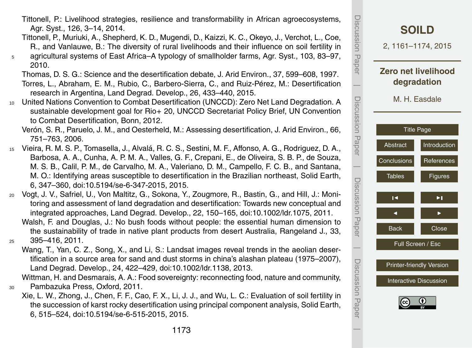- Tittonell, P.: Livelihood strategies, resilience and transformability in African agroecosystems, Agr. Syst., 126, 3–14, 2014.
- Tittonell, P., Muriuki, A., Shepherd, K. D., Mugendi, D., Kaizzi, K. C., Okeyo, J., Verchot, L., Coe, R., and Vanlauwe, B.: The diversity of rural livelihoods and their influence on soil fertility in <sup>5</sup> agricultural systems of East Africa–A typology of smallholder farms, Agr. Syst., 103, 83–97,
- 2010.
- Thomas, D. S. G.: Science and the desertification debate, J. Arid Environ., 37, 599–608, 1997. Torres, L., Abraham, E. M., Rubio, C., Barbero-Sierra, C., and Ruiz-Pérez, M.: Desertification research in Argentina, Land Degrad. Develop., 26, 433–440, 2015.
- <sup>10</sup> United Nations Convention to Combat Desertification (UNCCD): Zero Net Land Degradation. A sustainable development goal for Rio+ 20, UNCCD Secretariat Policy Brief, UN Convention to Combat Desertification, Bonn, 2012.

Verón, S. R., Paruelo, J. M., and Oesterheld, M.: Assessing desertification, J. Arid Environ., 66, 751–763, 2006.

- <sup>15</sup> Vieira, R. M. S. P., Tomasella, J., Alvalá, R. C. S., Sestini, M. F., Affonso, A. G., Rodriguez, D. A., Barbosa, A. A., Cunha, A. P. M. A., Valles, G. F., Crepani, E., de Oliveira, S. B. P., de Souza, M. S. B., Calil, P. M., de Carvalho, M. A., Valeriano, D. M., Campello, F. C. B., and Santana, M. O.: Identifying areas susceptible to desertification in the Brazilian northeast, Solid Earth, 6, 347–360, doi[:10.5194/se-6-347-2015,](http://dx.doi.org/10.5194/se-6-347-2015) 2015.
- <sup>20</sup> Vogt, J. V., Safriel, U., Von Maltitz, G., Sokona, Y., Zougmore, R., Bastin, G., and Hill, J.: Monitoring and assessment of land degradation and desertification: Towards new conceptual and integrated approaches, Land Degrad. Develop., 22, 150–165, doi[:10.1002/ldr.1075,](http://dx.doi.org/10.1002/ldr.1075) 2011. Walsh, F. and Douglas, J.: No bush foods without people: the essential human dimension to the sustainability of trade in native plant products from desert Australia, Rangeland J., 33,
- <sup>25</sup> 395–416, 2011.
	- Wang, T., Yan, C. Z., Song, X., and Li, S.: Landsat images reveal trends in the aeolian desertification in a source area for sand and dust storms in china's alashan plateau (1975–2007), Land Degrad. Develop., 24, 422–429, doi[:10.1002/ldr.1138,](http://dx.doi.org/10.1002/ldr.1138) 2013.

Wittman, H. and Desmarais, A. A.: Food sovereignty: reconnecting food, nature and community, <sup>30</sup> Pambazuka Press, Oxford, 2011.

Xie, L. W., Zhong, J., Chen, F. F., Cao, F. X., Li, J. J., and Wu, L. C.: Evaluation of soil fertility in the succession of karst rocky desertification using principal component analysis, Solid Earth, 6, 515–524, doi[:10.5194/se-6-515-2015,](http://dx.doi.org/10.5194/se-6-515-2015) 2015.



Discussion Paper

Discussion

 $\overline{\phantom{a}}$ 

Paper

Discussion Paper

 $\overline{\phantom{a}}$ 

Discussion Paper

 $\overline{\phantom{a}}$ 

Discussion Paper

 $\overline{\phantom{a}}$